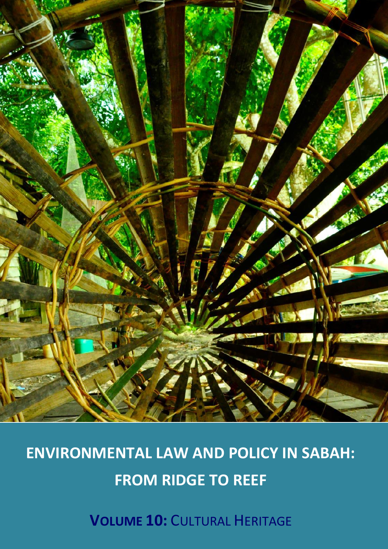

# **ENVIRONMENTAL LAW AND POLICY IN SABAH: FROM RIDGE TO REEF**

**VOLUME 10:** CULTURAL HERITAGE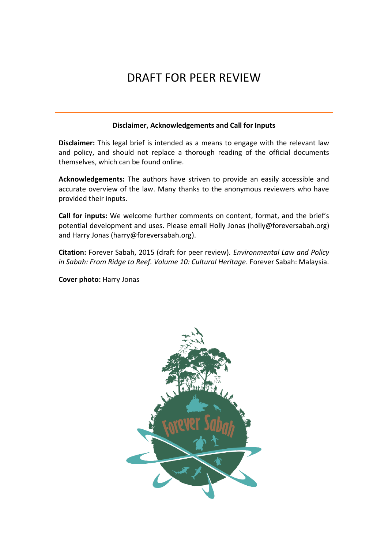# DRAFT FOR PEER REVIEW

#### **Disclaimer, Acknowledgements and Call for Inputs**

**Disclaimer:** This legal brief is intended as a means to engage with the relevant law and policy, and should not replace a thorough reading of the official documents themselves, which can be found online.

**Acknowledgements:** The authors have striven to provide an easily accessible and accurate overview of the law. Many thanks to the anonymous reviewers who have provided their inputs.

**Call for inputs:** We welcome further comments on content, format, and the brief's potential development and uses. Please email Holly Jonas (holly@foreversabah.org) and Harry Jonas (harry@foreversabah.org).

**Citation:** Forever Sabah, 2015 (draft for peer review). *Environmental Law and Policy in Sabah: From Ridge to Reef. Volume 10: Cultural Heritage*. Forever Sabah: Malaysia.

**Cover photo:** Harry Jonas

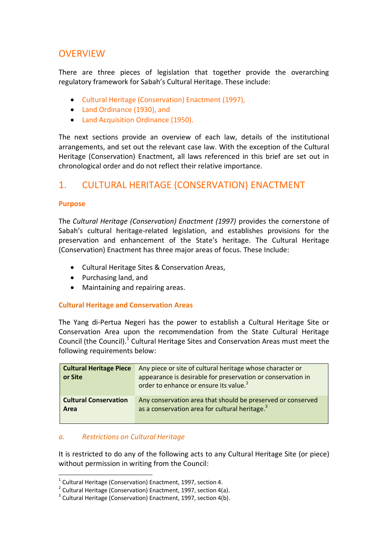# **OVERVIEW**

There are three pieces of legislation that together provide the overarching regulatory framework for Sabah's Cultural Heritage. These include:

- Cultural Heritage (Conservation) Enactment (1997),
- Land Ordinance (1930), and
- Land Acquisition Ordinance (1950).

The next sections provide an overview of each law, details of the institutional arrangements, and set out the relevant case law. With the exception of the Cultural Heritage (Conservation) Enactment, all laws referenced in this brief are set out in chronological order and do not reflect their relative importance.

# 1. CULTURAL HERITAGE (CONSERVATION) ENACTMENT

#### **Purpose**

<u>.</u>

The *Cultural Heritage (Conservation) Enactment (1997)* provides the cornerstone of Sabah's cultural heritage-related legislation, and establishes provisions for the preservation and enhancement of the State's heritage. The Cultural Heritage (Conservation) Enactment has three major areas of focus. These Include:

- Cultural Heritage Sites & Conservation Areas,
- Purchasing land, and
- Maintaining and repairing areas.

#### **Cultural Heritage and Conservation Areas**

The Yang di-Pertua Negeri has the power to establish a Cultural Heritage Site or Conservation Area upon the recommendation from the State Cultural Heritage Council (the Council). $1$  Cultural Heritage Sites and Conservation Areas must meet the following requirements below:

| <b>Cultural Heritage Piece</b><br>or Site | Any piece or site of cultural heritage whose character or<br>appearance is desirable for preservation or conservation in<br>order to enhance or ensure its value. <sup>2</sup> |
|-------------------------------------------|--------------------------------------------------------------------------------------------------------------------------------------------------------------------------------|
| <b>Cultural Conservation</b>              | Any conservation area that should be preserved or conserved                                                                                                                    |
| Area                                      | as a conservation area for cultural heritage. <sup>3</sup>                                                                                                                     |

#### *a. Restrictions on Cultural Heritage*

It is restricted to do any of the following acts to any Cultural Heritage Site (or piece) without permission in writing from the Council:

 $1$  Cultural Heritage (Conservation) Enactment, 1997, section 4.

 $2$  Cultural Heritage (Conservation) Enactment, 1997, section 4(a).

 $3$  Cultural Heritage (Conservation) Enactment, 1997, section 4(b).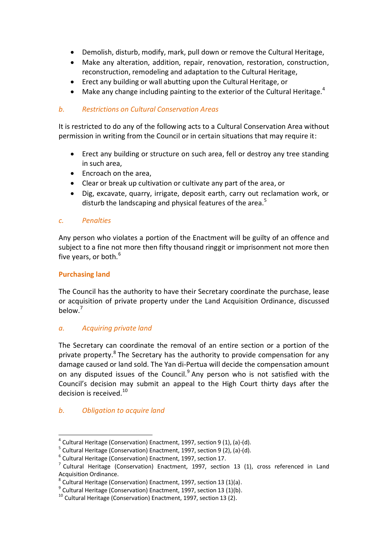- Demolish, disturb, modify, mark, pull down or remove the Cultural Heritage,
- Make any alteration, addition, repair, renovation, restoration, construction, reconstruction, remodeling and adaptation to the Cultural Heritage,
- Erect any building or wall abutting upon the Cultural Heritage, or
- Make any change including painting to the exterior of the Cultural Heritage.<sup>4</sup>

#### *b. Restrictions on Cultural Conservation Areas*

It is restricted to do any of the following acts to a Cultural Conservation Area without permission in writing from the Council or in certain situations that may require it:

- Erect any building or structure on such area, fell or destroy any tree standing in such area,
- Encroach on the area,
- Clear or break up cultivation or cultivate any part of the area, or
- Dig, excavate, quarry, irrigate, deposit earth, carry out reclamation work, or disturb the landscaping and physical features of the area.<sup>5</sup>

#### *c. Penalties*

Any person who violates a portion of the Enactment will be guilty of an offence and subject to a fine not more then fifty thousand ringgit or imprisonment not more then five years, or both.<sup>6</sup>

#### **Purchasing land**

The Council has the authority to have their Secretary coordinate the purchase, lease or acquisition of private property under the Land Acquisition Ordinance, discussed below. 7

#### *a. Acquiring private land*

The Secretary can coordinate the removal of an entire section or a portion of the private property.<sup>8</sup> The Secretary has the authority to provide compensation for any damage caused or land sold. The Yan di-Pertua will decide the compensation amount on any disputed issues of the Council.<sup>9</sup> Any person who is not satisfied with the Council's decision may submit an appeal to the High Court thirty days after the decision is received. $10$ 

#### *b. Obligation to acquire land*

<u>.</u>

 $^4$  Cultural Heritage (Conservation) Enactment, 1997, section 9 (1), (a)-(d).

<sup>&</sup>lt;sup>5</sup> Cultural Heritage (Conservation) Enactment, 1997, section 9 (2), (a)-(d).

<sup>&</sup>lt;sup>6</sup> Cultural Heritage (Conservation) Enactment, 1997, section 17.

 $<sup>7</sup>$  Cultural Heritage (Conservation) Enactment, 1997, section 13 (1), cross referenced in Land</sup> Acquisition Ordinance.

 $^8$  Cultural Heritage (Conservation) Enactment, 1997, section 13 (1)(a).

 $^9$  Cultural Heritage (Conservation) Enactment, 1997, section 13 (1)(b).

<sup>10</sup> Cultural Heritage (Conservation) Enactment, 1997, section 13 (2).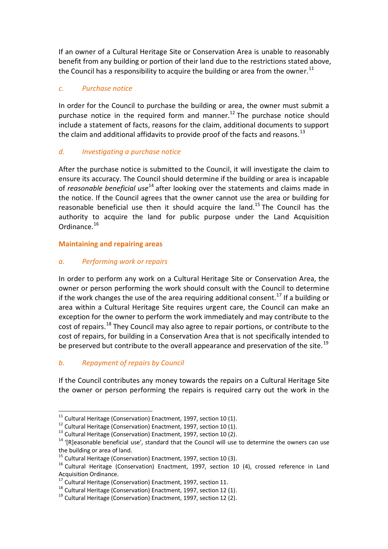If an owner of a Cultural Heritage Site or Conservation Area is unable to reasonably benefit from any building or portion of their land due to the restrictions stated above, the Council has a responsibility to acquire the building or area from the owner.<sup>11</sup>

#### *c. Purchase notice*

In order for the Council to purchase the building or area, the owner must submit a purchase notice in the required form and manner.<sup>12</sup> The purchase notice should include a statement of facts, reasons for the claim, additional documents to support the claim and additional affidavits to provide proof of the facts and reasons.<sup>13</sup>

#### *d. Investigating a purchase notice*

After the purchase notice is submitted to the Council, it will investigate the claim to ensure its accuracy. The Council should determine if the building or area is incapable of *reasonable beneficial use*<sup>14</sup> after looking over the statements and claims made in the notice. If the Council agrees that the owner cannot use the area or building for reasonable beneficial use then it should acquire the land.<sup>15</sup> The Council has the authority to acquire the land for public purpose under the Land Acquisition Ordinance.<sup>16</sup>

#### **Maintaining and repairing areas**

#### *a. Performing work or repairs*

In order to perform any work on a Cultural Heritage Site or Conservation Area, the owner or person performing the work should consult with the Council to determine if the work changes the use of the area requiring additional consent.<sup>17</sup> If a building or area within a Cultural Heritage Site requires urgent care, the Council can make an exception for the owner to perform the work immediately and may contribute to the cost of repairs.<sup>18</sup> They Council may also agree to repair portions, or contribute to the cost of repairs, for building in a Conservation Area that is not specifically intended to be preserved but contribute to the overall appearance and preservation of the site.<sup>19</sup>

#### *b. Repayment of repairs by Council*

<u>.</u>

If the Council contributes any money towards the repairs on a Cultural Heritage Site the owner or person performing the repairs is required carry out the work in the

 $11$  Cultural Heritage (Conservation) Enactment, 1997, section 10 (1).

 $12$  Cultural Heritage (Conservation) Enactment, 1997, section 10 (1).

<sup>13</sup> Cultural Heritage (Conservation) Enactment, 1997, section 10 (2).

 $14$  '[R]easonable beneficial use', standard that the Council will use to determine the owners can use the building or area of land.

 $<sup>15</sup>$  Cultural Heritage (Conservation) Enactment, 1997, section 10 (3).</sup>

 $16$  Cultural Heritage (Conservation) Enactment, 1997, section 10 (4), crossed reference in Land Acquisition Ordinance.

<sup>17</sup> Cultural Heritage (Conservation) Enactment, 1997, section 11.

<sup>&</sup>lt;sup>18</sup> Cultural Heritage (Conservation) Enactment, 1997, section 12 (1).

 $19$  Cultural Heritage (Conservation) Enactment, 1997, section 12 (2).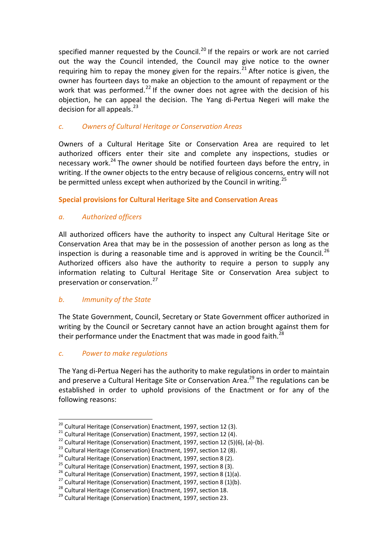specified manner requested by the Council.<sup>20</sup> If the repairs or work are not carried out the way the Council intended, the Council may give notice to the owner requiring him to repay the money given for the repairs.<sup>21</sup> After notice is given, the owner has fourteen days to make an objection to the amount of repayment or the work that was performed.<sup>22</sup> If the owner does not agree with the decision of his objection, he can appeal the decision. The Yang di-Pertua Negeri will make the decision for all appeals.<sup>23</sup>

#### *c. Owners of Cultural Heritage or Conservation Areas*

Owners of a Cultural Heritage Site or Conservation Area are required to let authorized officers enter their site and complete any inspections, studies or necessary work.<sup>24</sup> The owner should be notified fourteen days before the entry, in writing. If the owner objects to the entry because of religious concerns, entry will not be permitted unless except when authorized by the Council in writing.<sup>25</sup>

**Special provisions for Cultural Heritage Site and Conservation Areas**

#### *a. Authorized officers*

All authorized officers have the authority to inspect any Cultural Heritage Site or Conservation Area that may be in the possession of another person as long as the inspection is during a reasonable time and is approved in writing be the Council.<sup>26</sup> Authorized officers also have the authority to require a person to supply any information relating to Cultural Heritage Site or Conservation Area subject to preservation or conservation.<sup>27</sup>

#### *b. Immunity of the State*

The State Government, Council, Secretary or State Government officer authorized in writing by the Council or Secretary cannot have an action brought against them for their performance under the Enactment that was made in good faith. $^{28}$ 

#### *c. Power to make regulations*

<u>.</u>

The Yang di-Pertua Negeri has the authority to make regulations in order to maintain and preserve a Cultural Heritage Site or Conservation Area.<sup>29</sup> The regulations can be established in order to uphold provisions of the Enactment or for any of the following reasons:

 $^{20}$  Cultural Heritage (Conservation) Enactment, 1997, section 12 (3).

 $21$  Cultural Heritage (Conservation) Enactment, 1997, section 12 (4).

<sup>&</sup>lt;sup>22</sup> Cultural Heritage (Conservation) Enactment, 1997, section 12 (5)(6), (a)-(b).

<sup>&</sup>lt;sup>23</sup> Cultural Heritage (Conservation) Enactment, 1997, section 12 (8).

<sup>&</sup>lt;sup>24</sup> Cultural Heritage (Conservation) Enactment, 1997, section 8 (2).

 $25$  Cultural Heritage (Conservation) Enactment, 1997, section 8 (3).

<sup>&</sup>lt;sup>26</sup> Cultural Heritage (Conservation) Enactment, 1997, section 8 (1)(a).

<sup>&</sup>lt;sup>27</sup> Cultural Heritage (Conservation) Enactment, 1997, section 8 (1)(b).

<sup>28</sup> Cultural Heritage (Conservation) Enactment, 1997, section 18.

 $^{29}$  Cultural Heritage (Conservation) Enactment, 1997, section 23.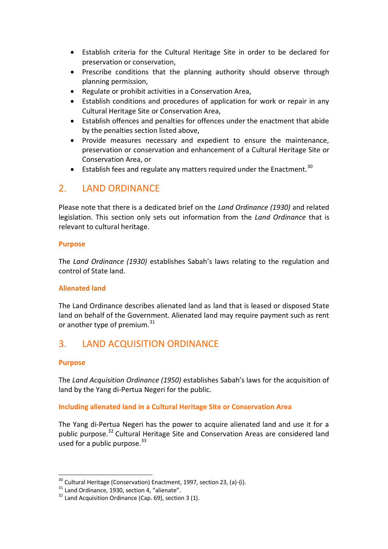- Establish criteria for the Cultural Heritage Site in order to be declared for preservation or conservation,
- Prescribe conditions that the planning authority should observe through planning permission,
- Regulate or prohibit activities in a Conservation Area,
- Establish conditions and procedures of application for work or repair in any Cultural Heritage Site or Conservation Area,
- Establish offences and penalties for offences under the enactment that abide by the penalties section listed above,
- Provide measures necessary and expedient to ensure the maintenance, preservation or conservation and enhancement of a Cultural Heritage Site or Conservation Area, or
- Establish fees and regulate any matters required under the Enactment.<sup>30</sup>

## 2. LAND ORDINANCE

Please note that there is a dedicated brief on the *Land Ordinance (1930)* and related legislation. This section only sets out information from the *Land Ordinance* that is relevant to cultural heritage.

#### **Purpose**

The *Land Ordinance (1930)* establishes Sabah's laws relating to the regulation and control of State land.

#### **Alienated land**

The Land Ordinance describes alienated land as land that is leased or disposed State land on behalf of the Government. Alienated land may require payment such as rent or another type of premium. $31$ 

# 3. LAND ACQUISITION ORDINANCE

#### **Purpose**

<u>.</u>

The *Land Acquisition Ordinance (1950)* establishes Sabah's laws for the acquisition of land by the Yang di-Pertua Negeri for the public.

#### **Including alienated land in a Cultural Heritage Site or Conservation Area**

The Yang di-Pertua Negeri has the power to acquire alienated land and use it for a public purpose.<sup>32</sup> Cultural Heritage Site and Conservation Areas are considered land used for a public purpose. $33$ 

 $30$  Cultural Heritage (Conservation) Enactment, 1997, section 23, (a)-(i).

<sup>&</sup>lt;sup>31</sup> Land Ordinance, 1930, section 4, "alienate".

 $32$  Land Acquisition Ordinance (Cap. 69), section 3 (1).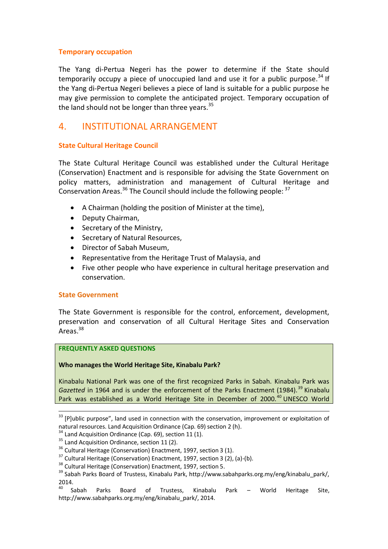#### **Temporary occupation**

The Yang di-Pertua Negeri has the power to determine if the State should temporarily occupy a piece of unoccupied land and use it for a public purpose.<sup>34</sup> If the Yang di-Pertua Negeri believes a piece of land is suitable for a public purpose he may give permission to complete the anticipated project. Temporary occupation of the land should not be longer than three years. $35$ 

### 4. INSTITUTIONAL ARRANGEMENT

#### **State Cultural Heritage Council**

The State Cultural Heritage Council was established under the Cultural Heritage (Conservation) Enactment and is responsible for advising the State Government on policy matters, administration and management of Cultural Heritage and Conservation Areas.<sup>36</sup> The Council should include the following people:  $37$ 

- A Chairman (holding the position of Minister at the time),
- Deputy Chairman,
- Secretary of the Ministry,
- Secretary of Natural Resources,
- Director of Sabah Museum,
- Representative from the Heritage Trust of Malaysia, and
- Five other people who have experience in cultural heritage preservation and conservation.

#### **State Government**

<u>.</u>

The State Government is responsible for the control, enforcement, development, preservation and conservation of all Cultural Heritage Sites and Conservation Areas.<sup>38</sup>

#### **FREQUENTLY ASKED QUESTIONS**

#### **Who manages the World Heritage Site, Kinabalu Park?**

Kinabalu National Park was one of the first recognized Parks in Sabah. Kinabalu Park was Gazetted in 1964 and is under the enforcement of the Parks Enactment (1984).<sup>39</sup> Kinabalu Park was established as a World Heritage Site in December of 2000.<sup>40</sup> UNESCO World

<sup>&</sup>lt;sup>33</sup> [P]ublic purpose", land used in connection with the conservation, improvement or exploitation of natural resources. Land Acquisition Ordinance (Cap. 69) section 2 (h).

 $34$  Land Acquisition Ordinance (Cap. 69), section 11 (1).

 $35$  Land Acquisition Ordinance, section 11 (2).

<sup>&</sup>lt;sup>36</sup> Cultural Heritage (Conservation) Enactment, 1997, section 3 (1).

<sup>&</sup>lt;sup>37</sup> Cultural Heritage (Conservation) Enactment, 1997, section 3 (2), (a)-(b).

<sup>&</sup>lt;sup>38</sup> Cultural Heritage (Conservation) Enactment, 1997, section 5.

<sup>&</sup>lt;sup>39</sup> Sabah Parks Board of Trustess, Kinabalu Park, http://www.sabahparks.org.my/eng/kinabalu\_park/,  $2014.$ <sup>40</sup> Sabah

Parks Board of Trustess, Kinabalu Park – World Heritage Site, http://www.sabahparks.org.my/eng/kinabalu\_park/, 2014.